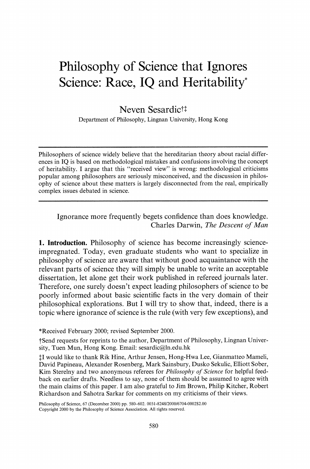# **Philosophy of Science that Ignores Science: Race, IQ and Heritability\***

**Neven Sesardictt** 

**Department of Philosophy, Lingnan University, Hong Kong** 

**Philosophers of science widely believe that the hereditarian theory about racial differences in IQ is based on methodological mistakes and confusions involving the concept of heritability. I argue that this "received view" is wrong: methodological criticisms popular among philosophers are seriously misconceived, and the discussion in philosophy of science about these matters is largely disconnected from the real, empirically complex issues debated in science.** 

**Ignorance more frequently begets confidence than does knowledge. Charles Darwin, The Descent of Man** 

**1. Introduction. Philosophy of science has become increasingly scienceimpregnated. Today, even graduate students who want to specialize in philosophy of science are aware that without good acquaintance with the relevant parts of science they will simply be unable to write an acceptable dissertation, let alone get their work published in refereed journals later. Therefore, one surely doesn't expect leading philosophers of science to be poorly informed about basic scientific facts in the very domain of their philosophical explorations. But I will try to show that, indeed, there is a topic where ignorance of science is the rule (with very few exceptions), and** 

**\*Received February 2000; revised September 2000.** 

**tSend requests for reprints to the author, Department of Philosophy, Lingnan University, Tuen Mun, Hong Kong. Email: sesardic@ln.edu.hk** 

**1J would like to thank Rik Hine, Arthur Jensen, Hong-Hwa Lee, Gianmatteo Mameli, David Papineau, Alexander Rosenberg, Mark Sainsbury, Dusko Sekulic, Elliott Sober, Kim Sterelny and two anonymous referees for Philosophy of Science for helpful feedback on earlier drafts. Needless to say, none of them should be assumed to agree with the main claims of this paper. I am also grateful to Jim Brown, Philip Kitcher, Robert Richardson and Sahotra Sarkar for comments on my criticisms of their views.** 

**Philosophy of Science, 67 (December 2000) pp. 580-602. 0031-8248/2000/6704-0002\$2.00**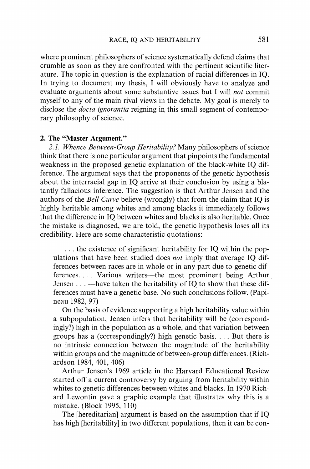**where prominent philosophers of science systematically defend claims that crumble as soon as they are confronted with the pertinent scientific literature. The topic in question is the explanation of racial differences in IQ. In trying to document my thesis, I will obviously have to analyze and evaluate arguments about some substantive issues but I will not commit myself to any of the main rival views in the debate. My goal is merely to disclose the docta ignorantia reigning in this small segment of contemporary philosophy of science.** 

#### **2. The "Master Argument."**

**2. 1. Whence Between-Group Heritability? Many philosophers of science think that there is one particular argument that pinpoints the fundamental weakness in the proposed genetic explanation of the black-white IQ difference. The argument says that the proponents of the genetic hypothesis about the interracial gap in IQ arrive at their conclusion by using a blatantly fallacious inference. The suggestion is that Arthur Jensen and the authors of the Bell Curve believe (wrongly) that from the claim that IQ is highly heritable among whites and among blacks it immediately follows that the difference in IQ between whites and blacks is also heritable. Once the mistake is diagnosed, we are told, the genetic hypothesis loses all its credibility. Here are some characteristic quotations:** 

**... the existence of significant heritability for IQ within the populations that have been studied does not imply that average IQ differences between races are in whole or in any part due to genetic differences.... Various writers-the most prominent being Arthur Jensen** . . . — have taken the heritability of IQ to show that these dif**ferences must have a genetic base. No such conclusions follow. (Papineau 1982, 97)** 

**On the basis of evidence supporting a high heritability value within a subpopulation, Jensen infers that heritability will be (correspondingly?) high in the population as a whole, and that variation between groups has a (correspondingly?) high genetic basis. ... But there is no intrinsic connection between the magnitude of the heritability within groups and the magnitude of between-group differences. (Richardson 1984, 401, 406)** 

**Arthur Jensen's 1969 article in the Harvard Educational Review started off a current controversy by arguing from heritability within whites to genetic differences between whites and blacks. In 1970 Richard Lewontin gave a graphic example that illustrates why this is a mistake. (Block 1995, 110)** 

**The [hereditarian] argument is based on the assumption that if IQ has high [heritability] in two different populations, then it can be con-**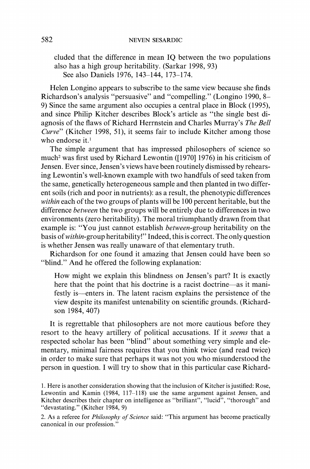**cluded that the difference in mean IQ between the two populations also has a high group heritability. (Sarkar 1998, 93)** 

**See also Daniels 1976, 143-144, 173-174.** 

**Helen Longino appears to subscribe to the same view because she finds Richardson's analysis "persuasive" and "compelling." (Longino 1990, 8- 9) Since the same argument also occupies a central place in Block (1995), and since Philip Kitcher describes Block's article as "the single best diagnosis of the flaws of Richard Herrnstein and Charles Murray's The Bell Curve" (Kitcher 1998, 51), it seems fair to include Kitcher among those who endorse it.1** 

**The simple argument that has impressed philosophers of science so much2 was first used by Richard Lewontin ([1970] 1976) in his criticism of Jensen. Ever since, Jensen's views have been routinely dismissed by rehearsing Lewontin's well-known example with two handfuls of seed taken from the same, genetically heterogeneous sample and then planted in two different soils (rich and poor in nutrients): as a result, the phenotypic differences within each of the two groups of plants will be 100 percent heritable, but the difference between the two groups will be entirely due to differences in two environments (zero heritability). The moral triumphantly drawn from that example is: "You just cannot establish between-group heritability on the basis of within-group heritability!" Indeed, this is correct. The only question is whether Jensen was really unaware of that elementary truth.** 

**Richardson for one found it amazing that Jensen could have been so "blind." And he offered the following explanation:** 

**How might we explain this blindness on Jensen's part? It is exactly**  here that the point that his doctrine is a racist doctrine—as it mani**festly is-enters in. The latent racism explains the persistence of the view despite its manifest untenability on scientific grounds. (Richardson 1984, 407)** 

**It is regrettable that philosophers are not more cautious before they resort to the heavy artillery of political accusations. If it seems that a respected scholar has been "blind" about something very simple and elementary, minimal fairness requires that you think twice (and read twice) in order to make sure that perhaps it was not you who misunderstood the person in question. I will try to show that in this particular case Richard-**

**<sup>1.</sup> Here is another consideration showing that the inclusion of Kitcher is justified: Rose, Lewontin and Kamin (1984, 117-118) use the same argument against Jensen, and Kitcher describes their chapter on intelligence as "brilliant", "lucid", "thorough" and "devastating." (Kitcher 1984, 9)** 

**<sup>2.</sup> As a referee for Philosophy of Science said: "This argument has become practically canonical in our profession."**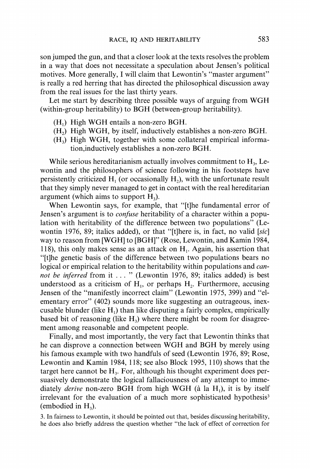**son jumped the gun, and that a closer look at the texts resolves the problem in a way that does not necessitate a speculation about Jensen's political motives. More generally, I will claim that Lewontin's "master argument" is really a red herring that has directed the philosophical discussion away from the real issues for the last thirty years.** 

**Let me start by describing three possible ways of arguing from WGH (within-group heritability) to BGH (between-group heritability).** 

- **(H1) High WGH entails a non-zero BGH.**
- **(H2) High WGH, by itself, inductively establishes a non-zero BGH.**
- **(H3) High WGH, together with some collateral empirical information,inductively establishes a non-zero BGH.**

While serious hereditarianism actually involves commitment to H<sub>3</sub>, Le**wontin and the philosophers of science following in his footsteps have**  persistently criticized  $H_1$  (or occasionally  $H_2$ ), with the unfortunate result **that they simply never managed to get in contact with the real hereditarian**  argument (which aims to support  $H_3$ ).

**When Lewontin says, for example, that "[t]he fundamental error of Jensen's argument is to confuse heritability of a character within a population with heritability of the difference between two populations" (Lewontin 1976, 89; italics added), or that "[t]here is, in fact, no valid [sic] way to reason from [WGH] to [BGH]" (Rose, Lewontin, and Kamin 1984,**  118), this only makes sense as an attack on H<sub>1</sub>. Again, his assertion that **"[t]he genetic basis of the difference between two populations bears no logical or empirical relation to the heritability within populations and cannot be inferred from it . . . " (Lewontin 1976, 89; italics added) is best**  understood as a criticism of  $H_1$ , or perhaps  $H_2$ . Furthermore, accusing **Jensen of the "manifestly incorrect claim" (Lewontin 1975, 399) and "elementary error" (402) sounds more like suggesting an outrageous, inexcusable blunder (like H1) than like disputing a fairly complex, empirically**  based bit of reasoning (like H<sub>3</sub>) where there might be room for disagree**ment among reasonable and competent people.** 

**Finally, and most importantly, the very fact that Lewontin thinks that he can disprove a connection between WGH and BGH by merely using his famous example with two handfuls of seed (Lewontin 1976, 89; Rose, Lewontin and Kamin 1984, 118; see also Block 1995, 110) shows that the**  target here cannot be H<sub>3</sub>. For, although his thought experiment does per**suasively demonstrate the logical fallaciousness of any attempt to imme**diately *derive* non-zero BGH from high WGH (à la H<sub>1</sub>), it is by itself **irrelevant for the evaluation of a much more sophisticated hypothesis3**   $(embodied in H<sub>3</sub>)$ .

**3. In fairness to Lewontin, it should be pointed out that, besides discussing heritability, he does also briefly address the question whether "the lack of effect of correction for**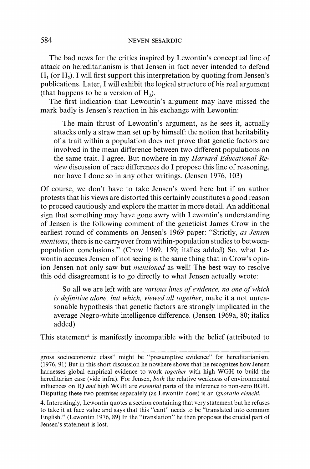**The bad news for the critics inspired by Lewontin's conceptual line of attack on hereditarianism is that Jensen in fact never intended to defend H1 (or H2). I will first support this interpretation by quoting from Jensen's publications. Later, I will exhibit the logical structure of his real argument**  (that happens to be a version of  $H_3$ ).

**The first indication that Lewontin's argument may have missed the mark badly is Jensen's reaction in his exchange with Lewontin:** 

**The main thrust of Lewontin's argument, as he sees it, actually attacks only a straw man set up by himself: the notion that heritability of a trait within a population does not prove that genetic factors are involved in the mean difference between two different populations on the same trait. I agree. But nowhere in my Harvard Educational Review discussion of race differences do I propose this line of reasoning, nor have I done so in any other writings. (Jensen 1976, 103)** 

**Of course, we don't have to take Jensen's word here but if an author protests that his views are distorted this certainly constitutes a good reason to proceed cautiously and explore the matter in more detail. An additional sign that something may have gone awry with Lewontin's understanding of Jensen is the following comment of the geneticist James Crow in the earliest round of comments on Jensen's 1969 paper: "Strictly, as Jensen mentions, there is no carryover from within-population studies to betweenpopulation conclusions." (Crow 1969, 159; italics added) So, what Lewontin accuses Jensen of not seeing is the same thing that in Crow's opinion Jensen not only saw but mentioned as well! The best way to resolve this odd disagreement is to go directly to what Jensen actually wrote:** 

**So all we are left with are various lines of evidence, no one of which is definitive alone, but which, viewed all together, make it a not unreasonable hypothesis that genetic factors are strongly implicated in the average Negro-white intelligence difference. (Jensen 1969a, 80; italics added)** 

This statement<sup>4</sup> is manifestly incompatible with the belief (attributed to

**gross socioeconomic class" might be "presumptive evidence" for hereditarianism. (1976, 91) But in this short discussion he nowhere shows that he recognizes how Jensen harnesses global empirical evidence to work together with high WGH to build the hereditarian case (vide infra). For Jensen, both the relative weakness of environmental influences on IQ and high WGH are essential parts of the inference to non-zero BGH. Disputing these two premises separately (as Lewontin does) is an ignoratio elenchi.** 

**4. Interestingly, Lewontin quotes a section containing that very statement but he refuses to take it at face value and says that this "cant" needs to be "translated into common English." (Lewontin 1976, 89) In the "translation" he then proposes the crucial part of Jensen's statement is lost.**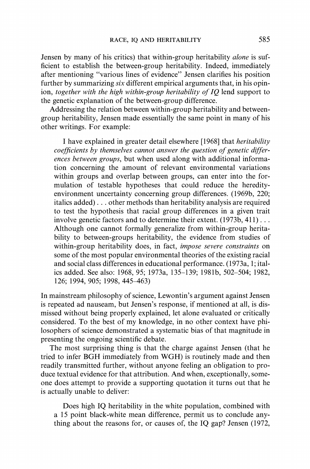**Jensen by many of his critics) that within-group heritability alone is sufficient to establish the between-group heritability. Indeed, immediately after mentioning "various lines of evidence" Jensen clarifies his position further by summarizing six different empirical arguments that, in his opinion, together with the high within-group heritability of IQ lend support to the genetic explanation of the between-group difference.** 

**Addressing the relation between within-group heritability and betweengroup heritability, Jensen made essentially the same point in many of his other writings. For example:** 

**I have explained in greater detail elsewhere [1968] that heritability coefficients by themselves cannot answer the question of genetic differences between groups, but when used along with additional information concerning the amount of relevant environmental variations within groups and overlap between groups, can enter into the formulation of testable hypotheses that could reduce the heredityenvironment uncertainty concerning group differences. (1969b, 220; italics added) ... other methods than heritability analysis are required to test the hypothesis that racial group differences in a given trait involve genetic factors and to determine their extent. (1973b, 411) ... Although one cannot formally generalize from within-group heritability to between-groups heritability, the evidence from studies of within-group heritability does, in fact, impose severe constraints on some of the most popular environmental theories of the existing racial and social class differences in educational performance. (1973a, 1; italics added. See also: 1968, 95; 1973a, 135-139; 1981b, 502-504; 1982, 126; 1994, 905; 1998, 445-463)** 

**In mainstream philosophy of science, Lewontin's argument against Jensen is repeated ad nauseam, but Jensen's response, if mentioned at all, is dismissed without being properly explained, let alone evaluated or critically considered. To the best of my knowledge, in no other context have philosophers of science demonstrated a systematic bias of that magnitude in presenting the ongoing scientific debate.** 

**The most surprising thing is that the charge against Jensen (that he tried to infer BGH immediately from WGH) is routinely made and then readily transmitted further, without anyone feeling an obligation to produce textual evidence for that attribution. And when, exceptionally, someone does attempt to provide a supporting quotation it turns out that he is actually unable to deliver:** 

**Does high IQ heritability in the white population, combined with a 15 point black-white mean difference, permit us to conclude anything about the reasons for, or causes of, the IQ gap? Jensen (1972,**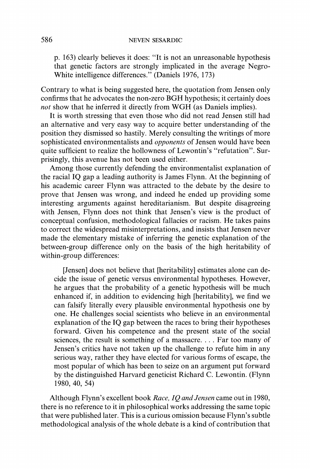**p. 163) clearly believes it does: "It is not an unreasonable hypothesis that genetic factors are strongly implicated in the average Negro-White intelligence differences." (Daniels 1976, 173)** 

**Contrary to what is being suggested here, the quotation from Jensen only confirms that he advocates the non-zero BGH hypothesis; it certainly does not show that he inferred it directly from WGH (as Daniels implies).** 

**It is worth stressing that even those who did not read Jensen still had an alternative and very easy way to acquire better understanding of the position they dismissed so hastily. Merely consulting the writings of more sophisticated environmentalists and opponents of Jensen would have been quite sufficient to realize the hollowness of Lewontin's "refutation". Surprisingly, this avenue has not been used either.** 

**Among those currently defending the environmentalist explanation of the racial IQ gap a leading authority is James Flynn. At the beginning of his academic career Flynn was attracted to the debate by the desire to prove that Jensen was wrong, and indeed he ended up providing some interesting arguments against hereditarianism. But despite disagreeing with Jensen, Flynn does not think that Jensen's view is the product of conceptual confusion, methodological fallacies or racism. He takes pains to correct the widespread misinterpretations, and insists that Jensen never made the elementary mistake of inferring the genetic explanation of the between-group difference only on the basis of the high heritability of within-group differences:** 

**[Jensen] does not believe that [heritability] estimates alone can decide the issue of genetic versus environmental hypotheses. However, he argues that the probability of a genetic hypothesis will be much enhanced if, in addition to evidencing high [heritability], we find we can falsify literally every plausible environmental hypothesis one by one. He challenges social scientists who believe in an environmental explanation of the IQ gap between the races to bring their hypotheses forward. Given his competence and the present state of the social sciences, the result is something of a massacre.... Far too many of Jensen's critics have not taken up the challenge to refute him in any serious way, rather they have elected for various forms of escape, the most popular of which has been to seize on an argument put forward by the distinguished Harvard geneticist Richard C. Lewontin. (Flynn 1980, 40, 54)** 

**Although Flynn's excellent book Race, IQ and Jensen came out in 1980, there is no reference to it in philosophical works addressing the same topic that were published later. This is a curious omission because Flynn's subtle methodological analysis of the whole debate is a kind of contribution that**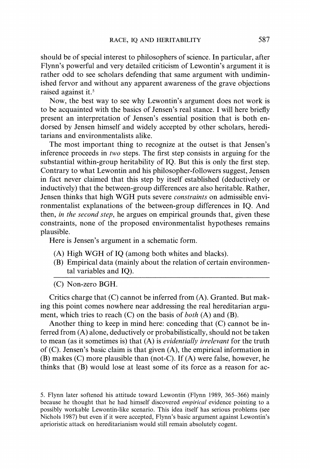**should be of special interest to philosophers of science. In particular, after Flynn's powerful and very detailed criticism of Lewontin's argument it is rather odd to see scholars defending that same argument with undiminished fervor and without any apparent awareness of the grave objections raised against it.5** 

**Now, the best way to see why Lewontin's argument does not work is to be acquainted with the basics of Jensen's real stance. I will here briefly present an interpretation of Jensen's essential position that is both endorsed by Jensen himself and widely accepted by other scholars, hereditarians and environmentalists alike.** 

**The most important thing to recognize at the outset is that Jensen's inference proceeds in two steps. The first step consists in arguing for the substantial within-group heritability of IQ. But this is only the first step. Contrary to what Lewontin and his philosopher-followers suggest, Jensen in fact never claimed that this step by itself established (deductively or inductively) that the between-group differences are also heritable. Rather, Jensen thinks that high WGH puts severe constraints on admissible environmentalist explanations of the between-group differences in IQ. And then, in the second step, he argues on empirical grounds that, given these constraints, none of the proposed environmentalist hypotheses remains plausible.** 

**Here is Jensen's argument in a schematic form.** 

- **(A) High WGH of IQ (among both whites and blacks).**
- **(B) Empirical data (mainly about the relation of certain environmental variables and IQ).**
- **(C) Non-zero BGH.**

**Critics charge that (C) cannot be inferred from (A). Granted. But making this point comes nowhere near addressing the real hereditarian argument, which tries to reach (C) on the basis of both (A) and (B).** 

**Another thing to keep in mind here: conceding that (C) cannot be inferred from (A) alone, deductively or probabilistically, should not be taken to mean (as it sometimes is) that (A) is evidentially irrelevant for the truth of (C). Jensen's basic claim is that given (A), the empirical information in (B) makes (C) more plausible than (not-C). If (A) were false, however, he thinks that (B) would lose at least some of its force as a reason for ac-**

**<sup>5.</sup> Flynn later softened his attitude toward Lewontin (Flynn 1989, 365-366) mainly because he thought that he had himself discovered empirical evidence pointing to a possibly workable Lewontin-like scenario. This idea itself has serious problems (see Nichols 1987) but even if it were accepted, Flynn's basic argument against Lewontin's aprioristic attack on hereditarianism would still remain absolutely cogent.**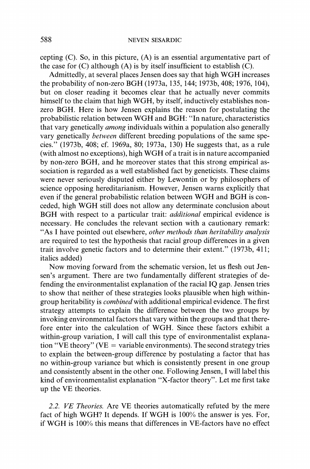**cepting (C). So, in this picture, (A) is an essential argumentative part of the case for (C) although (A) is by itself insufficient to establish (C).** 

**Admittedly, at several places Jensen does say that high WGH increases the probability of non-zero BGH (1973a, 135, 144; 1973b, 408; 1976, 104), but on closer reading it becomes clear that he actually never commits himself to the claim that high WGH, by itself, inductively establishes nonzero BGH. Here is how Jensen explains the reason for postulating the probabilistic relation between WGH and BGH: "In nature, characteristics that vary genetically among individuals within a population also generally vary genetically between different breeding populations of the same species." (1973b, 408; cf. 1969a, 80; 1973a, 130) He suggests that, as a rule (with almost no exceptions), high WGH of a trait is in nature accompanied by non-zero BGH, and he moreover states that this strong empirical association is regarded as a well established fact by geneticists. These claims were never seriously disputed either by Lewontin or by philosophers of science opposing hereditarianism. However, Jensen warns explicitly that even if the general probabilistic relation between WGH and BGH is conceded, high WGH still does not allow any determinate conclusion about BGH with respect to a particular trait: additional empirical evidence is necessary. He concludes the relevant section with a cautionary remark: "As I have pointed out elsewhere, other methods than heritability analysis are required to test the hypothesis that racial group differences in a given trait involve genetic factors and to determine their extent." (1973b, 411; italics added)** 

**Now moving forward from the schematic version, let us flesh out Jensen's argument. There are two fundamentally different strategies of defending the environmentalist explanation of the racial IQ gap. Jensen tries to show that neither of these strategies looks plausible when high withingroup heritability is combined with additional empirical evidence. The first strategy attempts to explain the difference between the two groups by invoking environmental factors that vary within the groups and that therefore enter into the calculation of WGH. Since these factors exhibit a within-group variation, I will call this type of environmentalist explanation "VE theory" (VE = variable environments). The second strategy tries to explain the between-group difference by postulating a factor that has no within-group variance but which is consistently present in one group and consistently absent in the other one. Following Jensen, I will label this kind of environmentalist explanation "X-factor theory". Let me first take up the VE theories.** 

**2.2. VE Theories. Are VE theories automatically refuted by the mere fact of high WGH? It depends. If WGH is 100% the answer is yes. For, if WGH is 100% this means that differences in VE-factors have no effect**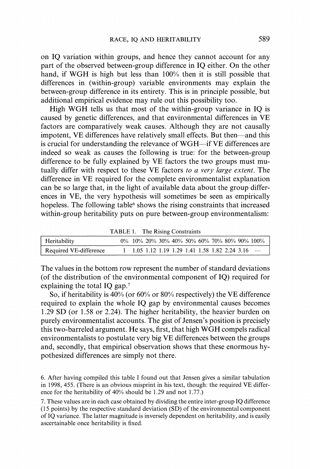**on IQ variation within groups, and hence they cannot account for any part of the observed between-group difference in IQ either. On the other hand, if WGH is high but less than 100% then it is still possible that differences in (within-group) variable environments may explain the between-group difference in its entirety. This is in principle possible, but additional empirical evidence may rule out this possibility too.** 

**High WGH tells us that most of the within-group variance in IQ is caused by genetic differences, and that environmental differences in VE factors are comparatively weak causes. Although they are not causally**  impotent, VE differences have relatively small effects. But then—and this **is crucial for understanding the relevance of WGH-if VE differences are indeed so weak as causes the following is true: for the between-group difference to be fully explained by VE factors the two groups must mutually differ with respect to these VE factors to a very large extent. The difference in VE required for the complete environmentalist explanation can be so large that, in the light of available data about the group differences in VE, the very hypothesis will sometimes be seen as empirically**  hopeless. The following table<sup>6</sup> shows the rising constraints that increased **within-group heritability puts on pure between-group environmentalism:** 

**TABLE 1. The Rising Constraints** 

| Heritability           |  |  |  |                                                                                                                       |  |                                 | 0% 10% 20% 30% 40% 50% 60% 70% 80% 90% 100% |
|------------------------|--|--|--|-----------------------------------------------------------------------------------------------------------------------|--|---------------------------------|---------------------------------------------|
| Required VE-difference |  |  |  | and the second second and the second complete three controls and the second complete the second control of the second |  | $105112119129141158182224316$ — |                                             |

**The values in the bottom row represent the number of standard deviations (of the distribution of the environmental component of IQ) required for explaining the total IQ gap.7** 

**So, if heritability is 40% (or 60% or 80% respectively) the VE difference required to explain the whole IQ gap by environmental causes becomes 1.29 SD (or 1.58 or 2.24). The higher heritability, the heavier burden on purely environmentalist accounts. The gist of Jensen's position is precisely this two-barreled argument. He says, first, that high WGH compels radical environmentalists to postulate very big VE differences between the groups and, secondly, that empirical observation shows that these enormous hypothesized differences are simply not there.** 

**6. After having compiled this table I found out that Jensen gives a similar tabulation in 1998, 455. (There is an obvious misprint in his text, though: the required VE difference for the heritability of 40% should be 1.29 and not 1.77.)** 

**7. These values are in each case obtained by dividing the entire inter-group IQ difference (15 points) by the respective standard deviation (SD) of the environmental component of IQ variance. The latter magnitude is inversely dependent on heritability, and is easily ascertainable once heritability is fixed.**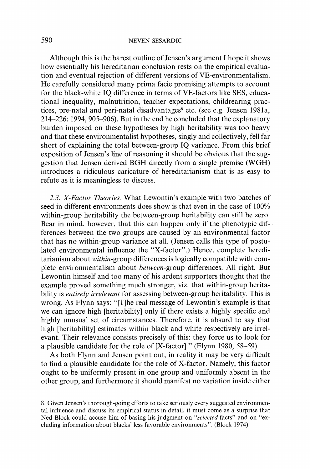**Although this is the barest outline of Jensen's argument I hope it shows how essentially his hereditarian conclusion rests on the empirical evaluation and eventual rejection of different versions of VE-environmentalism. He carefully considered many prima facie promising attempts to account for the black-white IQ difference in terms of VE-factors like SES, educational inequality, malnutrition, teacher expectations, childrearing prac**tices, pre-natal and peri-natal disadvantages<sup>8</sup> etc. (see e.g. Jensen 1981a, **214-226; 1994, 905-906). But in the end he concluded that the explanatory burden imposed on these hypotheses by high heritability was too heavy and that these environmentalist hypotheses, singly and collectively, fell far short of explaining the total between-group IQ variance. From this brief exposition of Jensen's line of reasoning it should be obvious that the suggestion that Jensen derived BGH directly from a single premise (WGH) introduces a ridiculous caricature of hereditarianism that is as easy to refute as it is meaningless to discuss.** 

**2.3. X-Factor Theories. What Lewontin's example with two batches of seed in different environments does show is that even in the case of 100% within-group heritability the between-group heritability can still be zero. Bear in mind, however, that this can happen only if the phenotypic differences between the two groups are caused by an environmental factor that has no within-group variance at all. (Jensen calls this type of postulated environmental influence the "X-factor".) Hence, complete hereditarianism about within-group differences is logically compatible with complete environmentalism about between-group differences. All right. But Lewontin himself and too many of his ardent supporters thought that the example proved something much stronger, viz. that within-group heritability is entirely irrelevant for assessing between-group heritability. This is wrong. As Flynn says: "[T]he real message of Lewontin's example is that we can ignore high [heritability] only if there exists a highly specific and highly unusual set of circumstances. Therefore, it is absurd to say that high [heritability] estimates within black and white respectively are irrelevant. Their relevance consists precisely of this: they force us to look for a plausible candidate for the role of [X-factor]." (Flynn 1980, 58-59)** 

**As both Flynn and Jensen point out, in reality it may be very difficult to find a plausible candidate for the role of X-factor. Namely, this factor ought to be uniformly present in one group and uniformly absent in the other group, and furthermore it should manifest no variation inside either** 

**<sup>8.</sup> Given Jensen's thorough-going efforts to take seriously every suggested environmental influence and discuss its empirical status in detail, it must come as a surprise that Ned Block could accuse him of basing his judgment on "selected facts" and on "excluding information about blacks' less favorable environments". (Block 1974)**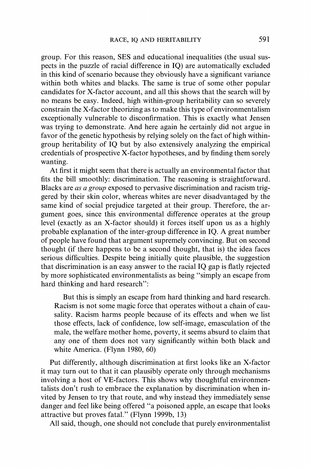**group. For this reason, SES and educational inequalities (the usual suspects in the puzzle of racial difference in IQ) are automatically excluded in this kind of scenario because they obviously have a significant variance within both whites and blacks. The same is true of some other popular candidates for X-factor account, and all this shows that the search will by no means be easy. Indeed, high within-group heritability can so severely constrain the X-factor theorizing as to make this type of environmentalism exceptionally vulnerable to disconfirmation. This is exactly what Jensen was trying to demonstrate. And here again he certainly did not argue in favor of the genetic hypothesis by relying solely on the fact of high withingroup heritability of IQ but by also extensively analyzing the empirical credentials of prospective X-factor hypotheses, and by finding them sorely wanting.** 

**At first it might seem that there is actually an environmental factor that fits the bill smoothly: discrimination. The reasoning is straightforward. Blacks are as a group exposed to pervasive discrimination and racism triggered by their skin color, whereas whites are never disadvantaged by the same kind of social prejudice targeted at their group. Therefore, the argument goes, since this environmental difference operates at the group level (exactly as an X-factor should) it forces itself upon us as a highly probable explanation of the inter-group difference in IQ. A great number of people have found that argument supremely convincing. But on second thought (if there happens to be a second thought, that is) the idea faces serious difficulties. Despite being initially quite plausible, the suggestion that discrimination is an easy answer to the racial IQ gap is flatly rejected by more sophisticated environmentalists as being "simply an escape from hard thinking and hard research":** 

**But this is simply an escape from hard thinking and hard research. Racism is not some magic force that operates without a chain of causality. Racism harms people because of its effects and when we list those effects, lack of confidence, low self-image, emasculation of the male, the welfare mother home, poverty, it seems absurd to claim that any one of them does not vary significantly within both black and white America. (Flynn 1980, 60)** 

**Put differently, although discrimination at first looks like an X-factor it may turn out to that it can plausibly operate only through mechanisms involving a host of VE-factors. This shows why thoughtful environmentalists don't rush to embrace the explanation by discrimination when invited by Jensen to try that route, and why instead they immediately sense danger and feel like being offered "a poisoned apple, an escape that looks attractive but proves fatal." (Flynn 1999b, 13)** 

**All said, though, one should not conclude that purely environmentalist**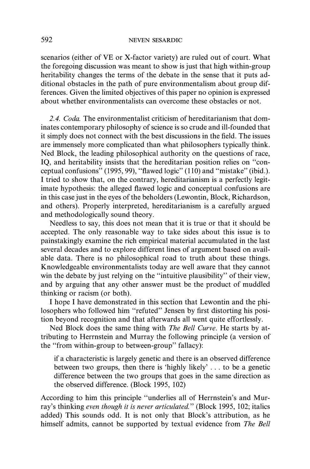**scenarios (either of VE or X-factor variety) are ruled out of court. What the foregoing discussion was meant to show is just that high within-group heritability changes the terms of the debate in the sense that it puts additional obstacles in the path of pure environmentalism about group differences. Given the limited objectives of this paper no opinion is expressed about whether environmentalists can overcome these obstacles or not.** 

**2.4. Coda. The environmentalist criticism of hereditarianism that dominates contemporary philosophy of science is so crude and ill-founded that it simply does not connect with the best discussions in the field. The issues are immensely more complicated than what philosophers typically think. Ned Block, the leading philosophical authority on the questions of race, IQ, and heritability insists that the hereditarian position relies on "conceptual confusions" (1995, 99), "flawed logic" (110) and "mistake" (ibid.). I tried to show that, on the contrary, hereditarianism is a perfectly legitimate hypothesis: the alleged flawed logic and conceptual confusions are in this case just in the eyes of the beholders (Lewontin, Block, Richardson, and others). Properly interpreted, hereditarianism is a carefully argued and methodologically sound theory.** 

**Needless to say, this does not mean that it is true or that it should be accepted. The only reasonable way to take sides about this issue is to painstakingly examine the rich empirical material accumulated in the last several decades and to explore different lines of argument based on available data. There is no philosophical road to truth about these things. Knowledgeable environmentalists today are well aware that they cannot win the debate by just relying on the "intuitive plausibility" of their view, and by arguing that any other answer must be the product of muddled thinking or racism (or both).** 

**I hope I have demonstrated in this section that Lewontin and the philosophers who followed him "refuted" Jensen by first distorting his position beyond recognition and that afterwards all went quite effortlessly.** 

**Ned Block does the same thing with The Bell Curve. He starts by attributing to Herrnstein and Murray the following principle (a version of the "from within-group to between-group" fallacy):** 

**if a characteristic is largely genetic and there is an observed difference between two groups, then there is 'highly likely' . . . to be a genetic difference between the two groups that goes in the same direction as the observed difference. (Block 1995, 102)** 

**According to him this principle "underlies all of Herrnstein's and Murray's thinking even though it is never articulated." (Block 1995, 102; italics added) This sounds odd. It is not only that Block's attribution, as he himself admits, cannot be supported by textual evidence from The Bell**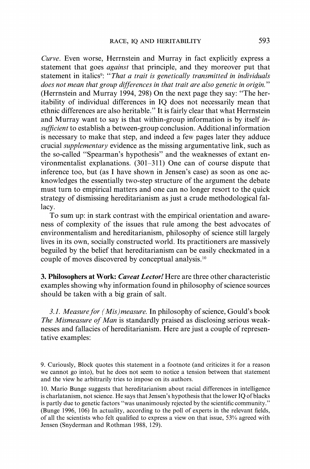**Curve. Even worse, Herrnstein and Murray in fact explicitly express a statement that goes against that principle, and they moreover put that**  statement in italics<sup>9</sup>: "That a trait is genetically transmitted in individuals **does not mean that group differences in that trait are also genetic in origin." (Herrnstein and Murray 1994, 298) On the next page they say: "The heritability of individual differences in IQ does not necessarily mean that ethnic differences are also heritable." It is fairly clear that what Herrnstein and Murray want to say is that within-group information is by itself insufficient to establish a between-group conclusion. Additional information is necessary to make that step, and indeed a few pages later they adduce crucial supplementary evidence as the missing argumentative link, such as the so-called "Spearman's hypothesis" and the weaknesses of extant environmentalist explanations. (301-311) One can of course dispute that inference too, but (as I have shown in Jensen's case) as soon as one acknowledges the essentially two-step structure of the argument the debate must turn to empirical matters and one can no longer resort to the quick strategy of dismissing hereditarianism as just a crude methodological fallacy.** 

**To sum up: in stark contrast with the empirical orientation and awareness of complexity of the issues that rule among the best advocates of environmentalism and hereditarianism, philosophy of science still largely lives in its own, socially constructed world. Its practitioners are massively beguiled by the belief that hereditarianism can be easily checkmated in a couple of moves discovered by conceptual analysis.10** 

**3. Philosophers at Work: Caveat Lector! Here are three other characteristic examples showing why information found in philosophy of science sources should be taken with a big grain of salt.** 

**3.1. Measure for (Mis)measure. In philosophy of science, Gould's book The Mismeasure of Man is standardly praised as disclosing serious weaknesses and fallacies of hereditarianism. Here are just a couple of representative examples:** 

**<sup>9.</sup> Curiously, Block quotes this statement in a footnote (and criticizes it for a reason we cannot go into), but he does not seem to notice a tension between that statement and the view he arbitrarily tries to impose on its authors.** 

**<sup>10.</sup> Mario Bunge suggests that hereditarianism about racial differences in intelligence is charlatanism, not science. He says that Jensen's hypothesis that the lower IQ of blacks is partly due to genetic factors "was unanimously rejected by the scientific community." (Bunge 1996, 106) In actuality, according to the poll of experts in the relevant fields, of all the scientists who felt qualified to express a view on that issue, 53% agreed with Jensen (Snyderman and Rothman 1988, 129).**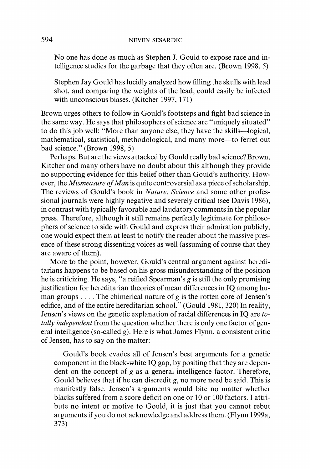**No one has done as much as Stephen J. Gould to expose race and intelligence studies for the garbage that they often are. (Brown 1998, 5)** 

**Stephen Jay Gould has lucidly analyzed how filling the skulls with lead shot, and comparing the weights of the lead, could easily be infected with unconscious biases. (Kitcher 1997, 171)** 

**Brown urges others to follow in Gould's footsteps and fight bad science in the same way. He says that philosophers of science are "uniquely situated" to do this job well: "More than anyone else, they have the skills-logical, mathematical, statistical, methodological, and many more-to ferret out bad science." (Brown 1998, 5)** 

**Perhaps. But are the views attacked by Gould really bad science? Brown, Kitcher and many others have no doubt about this although they provide no supporting evidence for this belief other than Gould's authority. However, the Mismeasure of Man is quite controversial as a piece of scholarship. The reviews of Gould's book in Nature, Science and some other professional journals were highly negative and severely critical (see Davis 1986), in contrast with typically favorable and laudatory comments in the popular press. Therefore, although it still remains perfectly legitimate for philosophers of science to side with Gould and express their admiration publicly, one would expect them at least to notify the reader about the massive presence of these strong dissenting voices as well (assuming of course that they are aware of them).** 

**More to the point, however, Gould's central argument against hereditarians happens to be based on his gross misunderstanding of the position he is criticizing. He says, "a reified Spearman's g is still the only promising justification for hereditarian theories of mean differences in IQ among human groups .... The chimerical nature of g is the rotten core of Jensen's edifice, and of the entire hereditarian school." (Gould 1981, 320) In reality, Jensen's views on the genetic explanation of racial differences in IQ are totally independent from the question whether there is only one factor of general intelligence (so-called g). Here is what James Flynn, a consistent critic of Jensen, has to say on the matter:** 

**Gould's book evades all of Jensen's best arguments for a genetic component in the black-white IQ gap, by positing that they are dependent on the concept of g as a general intelligence factor. Therefore, Gould believes that if he can discredit g, no more need be said. This is manifestly false. Jensen's arguments would bite no matter whether blacks suffered from a score deficit on one or 10 or 100 factors. I attribute no intent or motive to Gould, it is just that you cannot rebut arguments if you do not acknowledge and address them. (Flynn 1999a, 373)**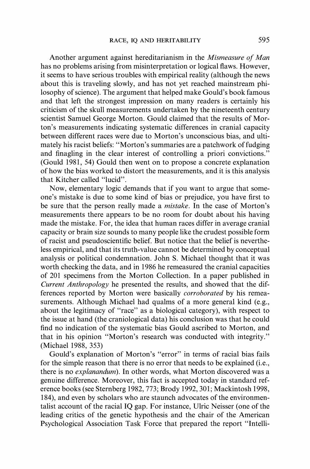**Another argument against hereditarianism in the Mismeasure of Man has no problems arising from misinterpretation or logical flaws. However, it seems to have serious troubles with empirical reality (although the news about this is traveling slowly, and has not yet reached mainstream philosophy of science). The argument that helped make Gould's book famous and that left the strongest impression on many readers is certainly his criticism of the skull measurements undertaken by the nineteenth century scientist Samuel George Morton. Gould claimed that the results of Morton's measurements indicating systematic differences in cranial capacity between different races were due to Morton's unconscious bias, and ultimately his racist beliefs: "Morton's summaries are a patchwork of fudging and finagling in the clear interest of controlling a priori convictions." (Gould 1981, 54) Gould then went on to propose a concrete explanation of how the bias worked to distort the measurements, and it is this analysis that Kitcher called "lucid".** 

**Now, elementary logic demands that if you want to argue that someone's mistake is due to some kind of bias or prejudice, you have first to be sure that the person really made a mistake. In the case of Morton's measurements there appears to be no room for doubt about his having made the mistake. For, the idea that human races differ in average cranial capacity or brain size sounds to many people like the crudest possible form of racist and pseudoscientific belief. But notice that the belief is nevertheless empirical, and that its truth-value cannot be determined by conceptual analysis or political condemnation. John S. Michael thought that it was worth checking the data, and in 1986 he remeasured the cranial capacities of 201 specimens from the Morton Collection. In a paper published in Current Anthropology he presented the results, and showed that the differences reported by Morton were basically corroborated by his remeasurements. Although Michael had qualms of a more general kind (e.g., about the legitimacy of "race" as a biological category), with respect to the issue at hand (the craniological data) his conclusion was that he could find no indication of the systematic bias Gould ascribed to Morton, and that in his opinion "Morton's research was conducted with integrity." (Michael 1988, 353)** 

**Gould's explanation of Morton's "error" in terms of racial bias fails for the simple reason that there is no error that needs to be explained (i.e., there is no explanandum). In other words, what Morton discovered was a genuine difference. Moreover, this fact is accepted today in standard reference books (see Sternberg 1982, 773; Brody 1992, 301; Mackintosh 1998, 184), and even by scholars who are staunch advocates of the environmentalist account of the racial IQ gap. For instance, Ulric Neisser (one of the leading critics of the genetic hypothesis and the chair of the American Psychological Association Task Force that prepared the report "Intelli-**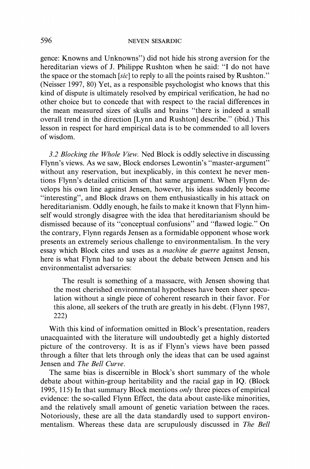**gence: Knowns and Unknowns") did not hide his strong aversion for the hereditarian views of J. Philippe Rushton when he said: "I do not have the space or the stomach [sic] to reply to all the points raised by Rushton." (Neisser 1997, 80) Yet, as a responsible psychologist who knows that this kind of dispute is ultimately resolved by empirical verification, he had no other choice but to concede that with respect to the racial differences in the mean measured sizes of skulls and brains "there is indeed a small overall trend in the direction [Lynn and Rushton] describe." (ibid.) This lesson in respect for hard empirical data is to be commended to all lovers of wisdom.** 

**3.2 Blocking the Whole View. Ned Block is oddly selective in discussing Flynn's views. As we saw, Block endorses Lewontin's "master-argument" without any reservation, but inexplicably, in this context he never mentions Flynn's detailed criticism of that same argument. When Flynn develops his own line against Jensen, however, his ideas suddenly become "interesting", and Block draws on them enthusiastically in his attack on hereditarianism. Oddly enough, he fails to make it known that Flynn himself would strongly disagree with the idea that hereditarianism should be dismissed because of its "conceptual confusions" and "flawed logic." On the contrary, Flynn regards Jensen as a formidable opponent whose work presents an extremely serious challenge to environmentalism. In the very essay which Block cites and uses as a machine de guerre against Jensen, here is what Flynn had to say about the debate between Jensen and his environmentalist adversaries:** 

**The result is something of a massacre, with Jensen showing that the most cherished environmental hypotheses have been sheer speculation without a single piece of coherent research in their favor. For this alone, all seekers of the truth are greatly in his debt. (Flynn 1987, 222)** 

**With this kind of information omitted in Block's presentation, readers unacquainted with the literature will undoubtedly get a highly distorted picture of the controversy. It is as if Flynn's views have been passed through a filter that lets through only the ideas that can be used against Jensen and The Bell Curve.** 

**The same bias is discernible in Block's short summary of the whole debate about within-group heritability and the racial gap in IQ. (Block 1995, 115) In that summary Block mentions only three pieces of empirical evidence: the so-called Flynn Effect, the data about caste-like minorities, and the relatively small amount of genetic variation between the races. Notoriously, these are all the data standardly used to support environmentalism. Whereas these data are scrupulously discussed in The Bell**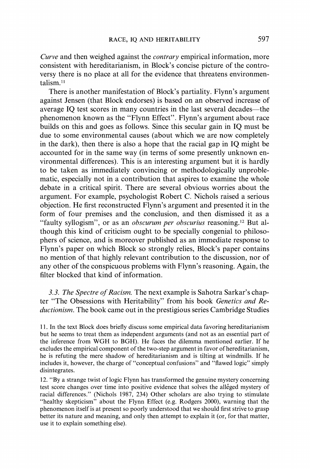**Curve and then weighed against the contrary empirical information, more consistent with hereditarianism, in Block's concise picture of the controversy there is no place at all for the evidence that threatens environmentalism. 11** 

**There is another manifestation of Block's partiality. Flynn's argument against Jensen (that Block endorses) is based on an observed increase of**  average IQ test scores in many countries in the last several decades—the **phenomenon known as the "Flynn Effect". Flynn's argument about race builds on this and goes as follows. Since this secular gain in IQ must be due to some environmental causes (about which we are now completely in the dark), then there is also a hope that the racial gap in IQ might be accounted for in the same way (in terms of some presently unknown environmental differences). This is an interesting argument but it is hardly to be taken as immediately convincing or methodologically unproblematic, especially not in a contribution that aspires to examine the whole debate in a critical spirit. There are several obvious worries about the argument. For example, psychologist Robert C. Nichols raised a serious objection. He first reconstructed Flynn's argument and presented it in the form of four premises and the conclusion, and then dismissed it as a**  "faulty syllogism", or as an *obscurum per obscurius* reasoning.<sup>12</sup> But al**though this kind of criticism ought to be specially congenial to philosophers of science, and is moreover published as an immediate response to Flynn's paper on which Block so strongly relies, Block's paper contains no mention of that highly relevant contribution to the discussion, nor of any other of the conspicuous problems with Flynn's reasoning. Again, the filter blocked that kind of information.** 

**3.3. The Spectre of Racism. The next example is Sahotra Sarkar's chapter "The Obsessions with Heritability" from his book Genetics and Reductionism. The book came out in the prestigious series Cambridge Studies** 

**<sup>11.</sup> In the text Block does briefly discuss some empirical data favoring hereditarianism but he seems to treat them as independent arguments (and not as an essential part of the inference from WGH to BGH). He faces the dilemma mentioned earlier. If he excludes the empirical component of the two-step argument in favor of hereditarianism, he is refuting the mere shadow of hereditarianism and is tilting at windmills. If he includes it, however, the charge of "conceptual confusions" and "flawed logic" simply disintegrates.** 

**<sup>12. &</sup>quot;By a strange twist of logic Flynn has transformed the genuine mystery concerning test score changes over time into positive evidence that solves the alleged mystery of racial differences." (Nichols 1987, 234) Other scholars are also trying to stimulate "healthy skepticism" about the Flynn Effect (e.g. Rodgers 2000), warning that the phenomenon itself is at present so poorly understood that we should first strive to grasp better its nature and meaning, and only then attempt to explain it (or, for that matter, use it to explain something else).**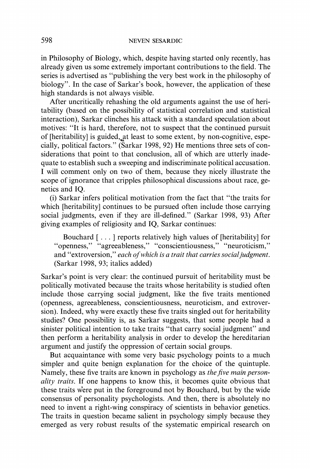**in Philosophy of Biology, which, despite having started only recently, has already given us some extremely important contributions to the field. The series is advertised as "publishing the very best work in the philosophy of biology". In the case of Sarkar's book, however, the application of these high standards is not always visible.** 

**After uncritically rehashing the old arguments against the use of heritability (based on the possibility of statistical correlation and statistical interaction), Sarkar clinches his attack with a standard speculation about motives: "It is hard, therefore, not to suspect that the continued pursuit**  of [heritability] is guided, at least to some extent, by non-cognitive, espe**cially, political factors." (Sarkar 1998, 92) He mentions three sets of considerations that point to that conclusion, all of which are utterly inadequate to establish such a sweeping and indiscriminate political accusation. I will comment only on two of them, because they nicely illustrate the scope of ignorance that cripples philosophical discussions about race, genetics and IQ.** 

**(i) Sarkar infers political motivation from the fact that "the traits for which [heritability] continues to be pursued often include those carrying social judgments, even if they are ill-defined." (Sarkar 1998, 93) After giving examples of religiosity and IQ, Sarkar continues:** 

**Bouchard [ ... ] reports relatively high values of [heritability] for "openness," "agreeableness," "conscientiousness," "neuroticism,"**  and "extroversion," each of which is a trait that carries social judgment. **(Sarkar 1998, 93; italics added)** 

**Sarkar's point is very clear: the continued pursuit of heritability must be politically motivated because the traits whose heritability is studied often include those carrying social judgment, like the five traits mentioned (openness, agreeableness, conscientiousness, neuroticism, and extroversion). Indeed, why were exactly these five traits singled out for heritability studies? One possibility is, as Sarkar suggests, that some people had a sinister political intention to take traits "that carry social judgment" and then perform a heritability analysis in order to develop the hereditarian argument and justify the oppression of certain social groups.** 

**But acquaintance with some very basic psychology points to a much simpler and quite benign explanation for the choice of the quintuple.**  Namely, these five traits are known in psychology as the five main person**ality traits. If one happens to know this, it becomes quite obvious that these traits w'ere put in the foreground not by Bouchard, but by the wide consensus of personality psychologists. And then, there is absolutely no need to invent a right-wing conspiracy of scientists in behavior genetics. The traits in question became salient in psychology simply because they emerged as very robust results of the systematic empirical research on**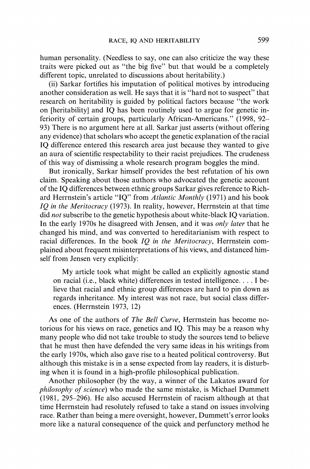**human personality. (Needless to say, one can also criticize the way these traits were picked out as "the big five" but that would be a completely different topic, unrelated to discussions about heritability.)** 

**(ii) Sarkar fortifies his imputation of political motives by introducing another consideration as well. He says that it is "hard not to suspect" that research on heritability is guided by political factors because "the work on [heritability] and IQ has been routinely used to argue for genetic inferiority of certain groups, particularly African-Americans." (1998, 92- 93) There is no argument here at all. Sarkar just asserts (without offering any evidence) that scholars who accept the genetic explanation of the racial IQ difference entered this research area just because they wanted to give an aura of scientific respectability to their racist prejudices. The crudeness of this way of dismissing a whole research program boggles the mind.** 

**But ironically, Sarkar himself provides the best refutation of his own claim. Speaking about those authors who advocated the genetic account of the IQ differences between ethnic groups Sarkar gives reference to Richard Herrnstein's article "IQ" from Atlantic Monthly (1971) and his book IQ in the Meritocracy (1973). In reality, however, Herrnstein at that time did not subscribe to the genetic hypothesis about white-black IQ variation. In the early 1970s he disagreed with Jensen, and it was only later that he changed his mind, and was converted to hereditarianism with respect to racial differences. In the book IQ in the Meritocracy, Herrnstein complained about frequent misinterpretations of his views, and distanced himself from Jensen very explicitly:** 

**My article took what might be called an explicitly agnostic stand on racial (i.e., black white) differences in tested intelligence.... I believe that racial and ethnic group differences are hard to pin down as regards inheritance. My interest was not race, but social class differences. (Herrnstein 1973, 12)** 

**As one of the authors of The Bell Curve, Herrnstein has become notorious for his views on race, genetics and IQ. This may be a reason why many people who did not take trouble to study the sources tend to believe that he must then have defended the very same ideas in his writings from the early 1970s, which also gave rise to a heated political controversy. But although this mistake is in a sense expected from lay readers, it is disturbing when it is found in a high-profile philosophical publication.** 

**Another philosopher (by the way, a winner of the Lakatos award for philosophy of science) who made the same mistake, is Michael Dummett (1981, 295-296). He also accused Herrnstein of racism although at that time Herrnstein had resolutely refused to take a stand on issues involving race. Rather than being a mere oversight, however, Dummett's error looks more like a natural consequence of the quick and perfunctory method he**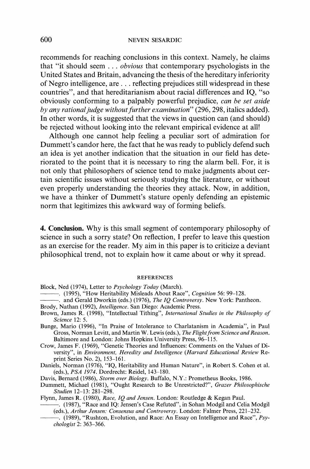**recommends for reaching conclusions in this context. Namely, he claims that "it should seem ... obvious that contemporary psychologists in the United States and Britain, advancing the thesis of the hereditary inferiority of Negro intelligence, are. .. reflecting prejudices still widespread in these countries", and that hereditarianism about racial differences and IQ, "so obviously conforming to a palpably powerful prejudice, can be set aside**  by any rational judge without further examination" (296, 298, italics added). **In other words, it is suggested that the views in question can (and should) be rejected without looking into the relevant empirical evidence at all!** 

**Although one cannot help feeling a peculiar sort of admiration for Dummett's candor here, the fact that he was ready to publicly defend such an idea is yet another indication that the situation in our field has deteriorated to the point that it is necessary to ring the alarm bell. For, it is not only that philosophers of science tend to make judgments about certain scientific issues without seriously studying the literature, or without even properly understanding the theories they attack. Now, in addition, we have a thinker of Dummett's stature openly defending an epistemic norm that legitimizes this awkward way of forming beliefs.** 

**4. Conclusion. Why is this small segment of contemporary philosophy of science in such a sorry state? On reflection, I prefer to leave this question as an exercise for the reader. My aim in this paper is to criticize a deviant philosophical trend, not to explain how it came about or why it spread.** 

#### **REFERENCES**

- **Block, Ned (1974), Letter to Psychology Today (March).**
- **. (1995), "How Heritability Misleads About Race", Cognition 56: 99-128.**
- **. and Gerald Dworkin (eds.) (1976), The IQ Controversy. New York: Pantheon.**
- **Brody, Nathan (1992), Intelligence. San Diego: Academic Press.**
- Brown, James R. (1998), "Intellectual Tithing", *International Studies in the Philosophy of* **Science 12: 5.**
- **Bunge, Mario (1996), "In Praise of Intolerance to Charlatanism in Academia", in Paul**  Gross, Norman Levitt, and Martin W. Lewis (eds.), The Flight from Science and Reason. **Baltimore and London: Johns Hopkins University Press, 96-115.**
- **Crow, James F. (1969), "Genetic Theories and Influences: Comments on the Values of Diversity", in Environment, Heredity and Intelligence (Harvard Educational Review Reprint Series No. 2), 153-161.**
- **Daniels, Norman (1976), "IQ, Heritability and Human Nature", in Robert S. Cohen et al. (eds.), PSA 1974. Dordrecht: Reidel, 143-180.**
- **Davis, Bernard (1986), Storm over Biology. Buffalo, N.Y.: Prometheus Books, 1986.**
- **Dummett, Michael (1981), "Ought Research to Be Unrestricted?", Grazer Philosophische Studien 12-13: 281-298.**

**Flynn, James R. (1980), Race, IQ and Jensen. London: Routledge & Kegan Paul.** 

- **. (1987), "Race and IQ: Jensen's Case Refuted", in Sohan Modgil and Celia Modgil (eds.), Arthur Jensen: Consensus and Controversy. London: Falmer Press, 221-232.** 
	- **. (1989), "Rushton, Evolution, and Race: An Essay on Intelligence and Race", Psychologist 2: 363-366.**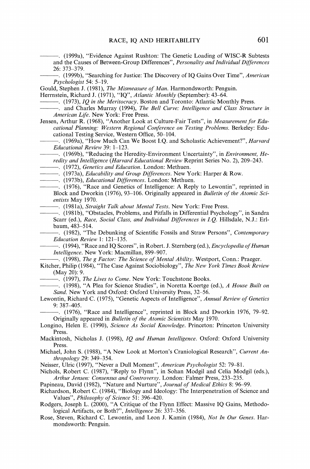**. (1999a), "Evidence Against Rushton: The Genetic Loading of WISC-R Subtests and the Causes of Between-Group Differences", Personality and Individual Differences 26: 373-379.** 

**\* (1999b), "Searching for Justice: The Discovery of IQ Gains Over Time", American Psychologist 54: 5-19.** 

**Gould, Stephen J. (1981), The Mismeasure of Man. Harmondsworth: Penguin.** 

**Herrnstein, Richard J. (1971), "IQ", Atlantic Monthly (September): 43-64.** 

- **. (1973), IQ in the Meritocracy. Boston and Toronto: Atlantic Monthly Press.**
- **. and Charles Murray (1994), The Bell Curve: Intelligence and Class Structure in. American Life. New York: Free Press.**
- **Jensen, Arthur R. (1968), "Another Look at Culture-Fair Tests", in Measurement for Educational Planning: Western Regional Conference on Testing Problems. Berkeley: Educational Testing Service, Western Office, 50-104.** 
	- **. (1969a), "How Much Can We Boost I.Q. and Scholastic Achievement?", Harvard Educational Review 39: 1-123.**
	- **. (1969b), "Reducing the Heredity-Environment Uncertainty", in Environment, Heredity and Intelligence (Harvard Educational Review Reprint Series No. 2), 209-243.**

**(1972), Genetics and Education. London: Methuen.** 

**(1973a), Educability and Group Differences. New York: Harper & Row.** 

**(1973b), Educational Differences. London: Methuen.** 

**. (1976), "Race and Genetics of Intelligence: A Reply to Lewontin", reprinted in Block and Dworkin (1976), 93-106. Originally appeared in Bulletin of the Atomic Scientists May 1970.** 

**. (1981a), Straight Talk about Mental Tests. New York: Free Press.** 

**(1981b), "Obstacles, Problems, and Pitfalls in Differential Psychology", in Sandra**  Scarr (ed.), Race, Social Class, and Individual Differences in I.Q. Hillsdale, N.J.: Erl**baum, 483-514.** 

**. (1982), "The Debunking of Scientific Fossils and Straw Persons", Contemporary Education Review 1: 121-135.** 

**\* (1994), "Race and IQ Scores", in Robert. J. Sternberg (ed.), Encyclopedia of Human Intelligence. New York: Macmillan, 899-907.** 

**\* (1998), The g Factor: The Science of Mental Ability. Westport, Conn.: Praeger.** 

**Kitcher, Philip (1984), "The Case Against Sociobiology", The New York Times Book Review (May 20): 9.** 

**(1997), The Lives to Come. New York: Touchstone Books.** 

**(1998), "A Plea for Science Studies", in Noretta Koertge (ed.), A House Built on Sand. New York and Oxford: Oxford University Press, 32-56.** 

**Lewontin, Richard C. (1975), "Genetic Aspects of Intelligence", Annual Review of Genetics 9: 387-405.** 

**. (1976), "Race and Intelligence", reprinted in Block and Dworkin 1976, 79-92. Originally appeared in Bulletin of the Atomic Scientists May 1970.** 

- **Longino, Helen E. (1990), Science As Social Knowledge. Princeton: Princeton University Press.**
- **Mackintosh, Nicholas J. (1998), IQ and Human Intelligence. Oxford: Oxford University Press.**
- **Michael, John S. (1988), "A New Look at Morton's Craniological Research", Current Anthropology 29: 349-354.**

**Neisser, Ulric (1997), "Never a Dull Moment", American Psychologist 52: 79-81.** 

**Nichols, Robert C. (1987), "Reply to Flynn", in Sohan Modgil and Celia Modgil (eds.), Arthur Jensen: Consensus and Controversy. London: Falmer Press, 233-235.** 

Papineau, David (1982), "Nature and Nurture", Journal of Medical Ethics 8: 96-99.

- **Richardson, Robert C. (1984), "Biology and Ideology: The Interpenetration of Science and Values", Philosophy of Science 51: 396-420.**
- **Rodgers, Joseph L. (2000), "A Critique of the Flynn Effect: Massive IQ Gains, Methodological Artifacts, or Both?", Intelligence 26: 337-356.**
- **Rose, Steven, Richard C. Lewontin, and Leon J. Kamin (1984), Not In Our Genes. Harmondsworth: Penguin.**